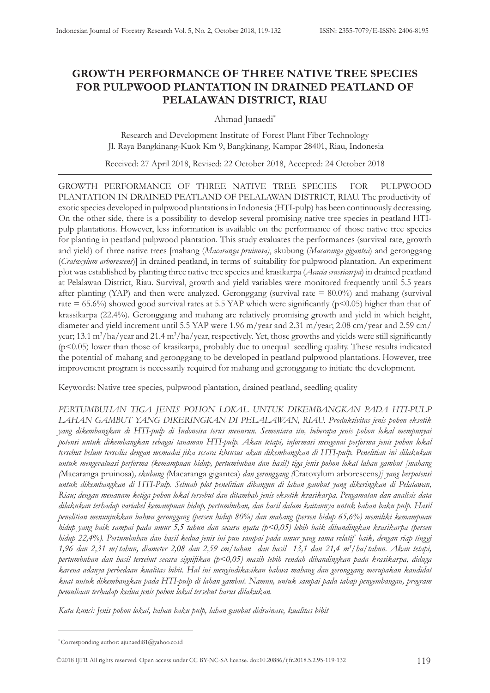# **GROWTH PERFORMANCE OF THREE NATIVE TREE SPECIES FOR PULPWOOD PLANTATION IN DRAINED PEATLAND OF PELALAWAN DISTRICT, RIAU**

Ahmad Junaedi\*

Research and Development Institute of Forest Plant Fiber Technology Jl. Raya Bangkinang-Kuok Km 9, Bangkinang, Kampar 28401, Riau, Indonesia

Received: 27 April 2018, Revised: 22 October 2018, Accepted: 24 October 2018

GROWTH PERFORMANCE OF THREE NATIVE TREE SPECIES FOR PULPWOOD PLANTATION IN DRAINED PEATLAND OF PELALAWAN DISTRICT, RIAU. The productivity of exotic species developed in pulpwood plantations in Indonesia (HTI-pulp) has been continuously decreasing. On the other side, there is a possibility to develop several promising native tree species in peatland HTIpulp plantations. However, less information is available on the performance of those native tree species for planting in peatland pulpwood plantation. This study evaluates the performances (survival rate, growth and yield) of three native trees [mahang (*Macaranga pruinosa)*, skubung (*Macaranga gigantea*) and geronggang (*Cratoxylum arborescens*)] in drained peatland, in terms of suitability for pulpwood plantation. An experiment plot was established by planting three native tree species and krasikarpa (*Acacia crassicarpa*) in drained peatland at Pelalawan District, Riau. Survival, growth and yield variables were monitored frequently until 5.5 years after planting (YAP) and then were analyzed. Geronggang (survival rate = 80.0%) and mahang (survival rate = 65.6%) showed good survival rates at 5.5 YAP which were significantly ( $p<0.05$ ) higher than that of krassikarpa (22.4%). Geronggang and mahang are relatively promising growth and yield in which height, diameter and yield increment until 5.5 YAP were 1.96 m/year and 2.31 m/year; 2.08 cm/year and 2.59 cm/ year; 13.1 m<sup>3</sup>/ha/year and 21.4 m<sup>3</sup>/ha/year, respectively. Yet, those growths and yields were still significantly (p<0.05) lower than those of krasikarpa, probably due to unequal seedling quality. These results indicated the potential of mahang and geronggang to be developed in peatland pulpwood plantations. However, tree improvement program is necessarily required for mahang and geronggang to initiate the development.

Keywords: Native tree species, pulpwood plantation, drained peatland, seedling quality

PERTUMBUHAN TIGA JENIS POHON LOKAL UNTUK DIKEMBANGKAN PADA HTI-PULP *LAHAN GAMBUT YANG DIKERINGKAN DI PELALAWAN, RIAU. Produktivitas jenis pohon eksotik yang dikembangkan di HTI-pulp di Indoneisa terus menurun. Sementara itu, beberapa jenis pohon lokal mempunyai potensi untuk dikembangkan sebagai tanaman HTI-pulp. Akan tetapi, informasi mengenai performa jenis pohon lokal tersebut belum tersedia dengan memadai jika secara khsusus akan dikembangkan di HTI-pulp. Penelitian ini dilakukan untuk mengevaluasi performa (kemampuan hidup, pertumbuhan dan hasil) tiga jenis pohon lokal lahan gambut [mahang (*Macaranga pruinosa)*, skubung (*Macaranga gigantea) *dan geronggang (*Cratoxylum arborescens*)] yang berpotensi untuk dikembangkan di HTI-Pulp. Sebuah plot penelitian dibangun di lahan gambut yang dikeringkan di Pelalawan, Riau; dengan menanam ketiga pohon lokal tersebut dan ditambah jenis eksotik krasikarpa. Pengamatan dan analisis data dilakukan terhadap variabel kemampuan hidup, pertumbuhan, dan hasil dalam kaitannya untuk bahan baku pulp. Hasil penelitian menunjukkan bahwa geronggang (persen hidup 80%) dan mahang (persen hidup 65,6%) memiliki kemampuan hidup yang baik sampai pada umur 5,5 tahun dan secara nyata (p<0,05) lebih baik dibandingkan krasikarpa (persen hidup 22,4%). Pertumbuhan dan hasil kedua jenis ini pun sampai pada umur yang sama relatif baik, dengan riap tinggi 1,96 dan 2,31 m/tahun, diameter 2,08 dan 2,59 cm/tahun dan hasil 13,1 dan 21,4 m3 /ha/tahun. Akan tetapi, pertumbuhan dan hasil tersebut secara signifikan (p<0,05) masih lebih rendah dibandingkan pada krasikarpa, diduga karena adanya perbedaan kualitas bibit. Hal ini mengindikasikan bahwa mahang dan geronggang merupakan kandidat kuat untuk dikembangkan pada HTI-pulp di lahan gambut. Namun, untuk sampai pada tahap pengembangan, program pemuliaan terhadap kedua jenis pohon lokal tersebut harus dilakukan.*

*Kata kunci: Jenis pohon lokal, bahan baku pulp, lahan gambut didrainase, kualitas bibit*

<sup>\*</sup> Corresponding author: ajunaedi81@yahoo.co.id

<sup>©2018</sup> IJFR All rights reserved. Open access under CC BY-NC-SA license. doi:10.20886/ijfr.2018.5.2.95-119-132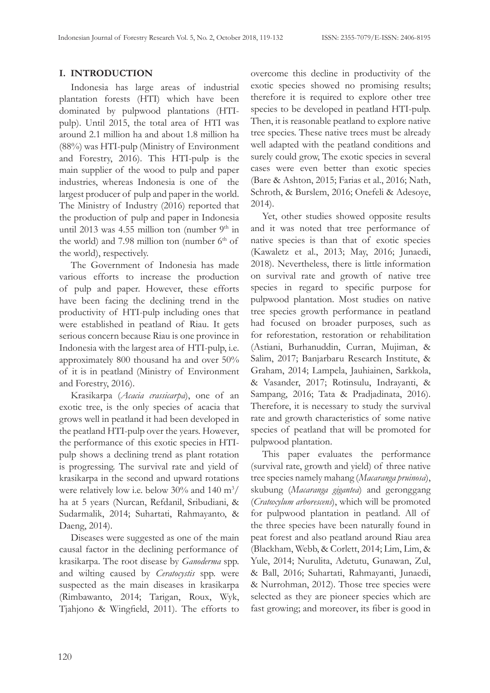### **I. INTRODUCTION**

Indonesia has large areas of industrial plantation forests (HTI) which have been dominated by pulpwood plantations (HTIpulp). Until 2015, the total area of HTI was around 2.1 million ha and about 1.8 million ha (88%) was HTI-pulp (Ministry of Environment and Forestry, 2016). This HTI-pulp is the main supplier of the wood to pulp and paper industries, whereas Indonesia is one of the largest producer of pulp and paper in the world. The Ministry of Industry (2016) reported that the production of pulp and paper in Indonesia until 2013 was 4.55 million ton (number  $9<sup>th</sup>$  in the world) and 7.98 million ton (number  $6<sup>th</sup>$  of the world), respectively.

The Government of Indonesia has made various efforts to increase the production of pulp and paper. However, these efforts have been facing the declining trend in the productivity of HTI-pulp including ones that were established in peatland of Riau. It gets serious concern because Riau is one province in Indonesia with the largest area of HTI-pulp, i.e. approximately 800 thousand ha and over 50% of it is in peatland (Ministry of Environment and Forestry, 2016).

Krasikarpa (*Acacia crassicarpa*), one of an exotic tree, is the only species of acacia that grows well in peatland it had been developed in the peatland HTI-pulp over the years. However, the performance of this exotic species in HTIpulp shows a declining trend as plant rotation is progressing. The survival rate and yield of krasikarpa in the second and upward rotations were relatively low i.e. below 30% and 140 m<sup>3</sup>/ ha at 5 years (Nurcan, Refdanil, Sribudiani, & Sudarmalik, 2014; Suhartati, Rahmayanto, & Daeng, 2014).

Diseases were suggested as one of the main causal factor in the declining performance of krasikarpa. The root disease by *Ganoderma* spp. and wilting caused by *Ceratocystis* spp. were suspected as the main diseases in krasikarpa (Rimbawanto, 2014; Tarigan, Roux, Wyk, Tjahjono & Wingfield, 2011). The efforts to

overcome this decline in productivity of the exotic species showed no promising results; therefore it is required to explore other tree species to be developed in peatland HTI-pulp. Then, it is reasonable peatland to explore native tree species. These native trees must be already well adapted with the peatland conditions and surely could grow, The exotic species in several cases were even better than exotic species (Bare & Ashton, 2015; Farias et al., 2016; Nath, Schroth, & Burslem, 2016; Onefeli & Adesoye, 2014).

Yet, other studies showed opposite results and it was noted that tree performance of native species is than that of exotic species (Kawaletz et al., 2013; May, 2016; Junaedi, 2018). Nevertheless, there is little information on survival rate and growth of native tree species in regard to specific purpose for pulpwood plantation. Most studies on native tree species growth performance in peatland had focused on broader purposes, such as for reforestation, restoration or rehabilitation (Astiani, Burhanuddin, Curran, Mujiman, & Salim, 2017; Banjarbaru Research Institute, & Graham, 2014; Lampela, Jauhiainen, Sarkkola, & Vasander, 2017; Rotinsulu, Indrayanti, & Sampang, 2016; Tata & Pradjadinata, 2016). Therefore, it is necessary to study the survival rate and growth characteristics of some native species of peatland that will be promoted for pulpwood plantation.

This paper evaluates the performance (survival rate, growth and yield) of three native tree species namely mahang (*Macaranga pruinosa*), skubung (*Macaranga gigantea*) and geronggang (*Cratoxylum arborescens*), which will be promoted for pulpwood plantation in peatland. All of the three species have been naturally found in peat forest and also peatland around Riau area (Blackham, Webb, & Corlett, 2014; Lim, Lim, & Yule, 2014; Nurulita, Adetutu, Gunawan, Zul, & Ball, 2016; Suhartati, Rahmayanti, Junaedi, & Nurrohman, 2012). Those tree species were selected as they are pioneer species which are fast growing; and moreover, its fiber is good in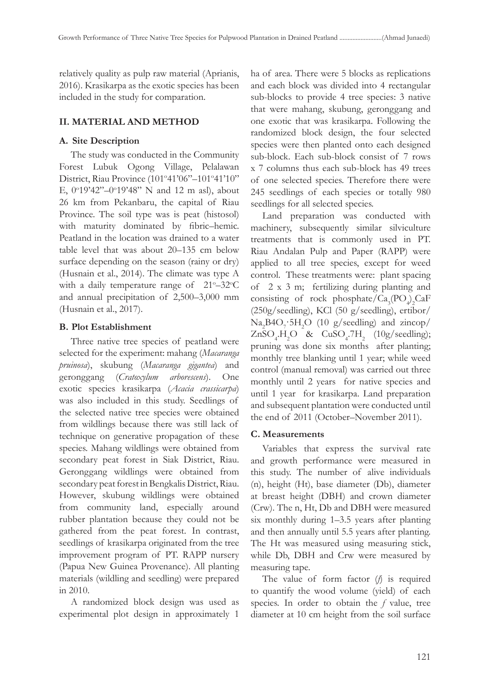relatively quality as pulp raw material (Aprianis, 2016). Krasikarpa as the exotic species has been included in the study for comparation.

## **II. MATERIAL AND METHOD**

### **A. Site Description**

The study was conducted in the Community Forest Lubuk Ogong Village, Pelalawan District, Riau Province (101°41'06"-101°41'10" E,  $0^{\circ}19'42'' - 0^{\circ}19'48''$  N and 12 m asl), about 26 km from Pekanbaru, the capital of Riau Province. The soil type was is peat (histosol) with maturity dominated by fibric–hemic. Peatland in the location was drained to a water table level that was about 20–135 cm below surface depending on the season (rainy or dry) (Husnain et al., 2014). The climate was type A with a daily temperature range of 21°-32°C and annual precipitation of 2,500–3,000 mm (Husnain et al., 2017).

## **B. Plot Establishment**

Three native tree species of peatland were selected for the experiment: mahang (*Macaranga pruinosa*), skubung (*Macaranga gigantea*) and geronggang (*Cratoxylum arborescens*). One exotic species krasikarpa (*Acacia crassicarpa*) was also included in this study. Seedlings of the selected native tree species were obtained from wildlings because there was still lack of technique on generative propagation of these species. Mahang wildlings were obtained from secondary peat forest in Siak District, Riau. Geronggang wildlings were obtained from secondary peat forest in Bengkalis District, Riau. However, skubung wildlings were obtained from community land, especially around rubber plantation because they could not be gathered from the peat forest. In contrast, seedlings of krasikarpa originated from the tree improvement program of PT. RAPP nursery (Papua New Guinea Provenance). All planting materials (wildling and seedling) were prepared in 2010.

A randomized block design was used as experimental plot design in approximately 1

ha of area. There were 5 blocks as replications and each block was divided into 4 rectangular sub-blocks to provide 4 tree species: 3 native that were mahang, skubung, geronggang and one exotic that was krasikarpa. Following the randomized block design, the four selected species were then planted onto each designed sub-block. Each sub-block consist of 7 rows x 7 columns thus each sub-block has 49 trees of one selected species. Therefore there were 245 seedlings of each species or totally 980 seedlings for all selected species.

Land preparation was conducted with machinery, subsequently similar silviculture treatments that is commonly used in PT. Riau Andalan Pulp and Paper (RAPP) were applied to all tree species, except for weed control. These treatments were: plant spacing of 2 x 3 m; fertilizing during planting and consisting of rock phosphate/ $Ca_3(PO_4)_2CaF$ (250g/seedling), KCl (50 g/seedling), ertibor/  $\text{Na}_2\text{B}4\text{O}_7$   $5\text{H}_2\text{O}$  (10 g/seedling) and zincop/  $ZnSO_4.H_2O$  &  $CuSO_4.7H_2$  (10g/seedling); pruning was done six months after planting; monthly tree blanking until 1 year; while weed control (manual removal) was carried out three monthly until 2 years for native species and until 1 year for krasikarpa. Land preparation and subsequent plantation were conducted until the end of 2011 (October–November 2011).

## **C. Measurements**

Variables that express the survival rate and growth performance were measured in this study. The number of alive individuals (n), height (Ht), base diameter (Db), diameter at breast height (DBH) and crown diameter (Crw). The n, Ht, Db and DBH were measured six monthly during 1–3.5 years after planting and then annually until 5.5 years after planting. The Ht was measured using measuring stick, while Db, DBH and Crw were measured by measuring tape.

The value of form factor (*f*) is required to quantify the wood volume (yield) of each species. In order to obtain the *f* value, tree diameter at 10 cm height from the soil surface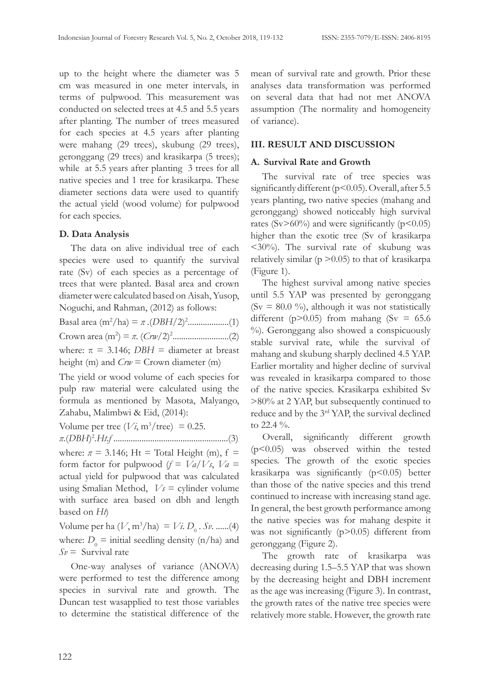up to the height where the diameter was 5 cm was measured in one meter intervals, in terms of pulpwood. This measurement was conducted on selected trees at 4.5 and 5.5 years after planting. The number of trees measured for each species at 4.5 years after planting were mahang (29 trees), skubung (29 trees), geronggang (29 trees) and krasikarpa (5 trees); while at 5.5 years after planting 3 trees for all native species and 1 tree for krasikarpa. These diameter sections data were used to quantify the actual yield (wood volume) for pulpwood for each species.

#### **D. Data Analysis**

The data on alive individual tree of each species were used to quantify the survival rate (Sv) of each species as a percentage of trees that were planted. Basal area and crown diameter were calculated based on Aisah, Yusop, Noguchi, and Rahman, (2012) as follows:

Basal area (m2 /ha) = *π* .(*DBH*/2)2 ...................(1) Crown area (m2 ) = *π*. (*Crw*/2)2 ..........................(2) where:  $\pi = 3.146$ ; *DBH* = diameter at breast height (m) and *Crw* = Crown diameter (m)

The yield or wood volume of each species for pulp raw material were calculated using the formula as mentioned by Masota, Malyango, Zahabu, Malimbwi & Eid, (2014):

Volume per tree  $(V*i*, m<sup>3</sup>/tree) = 0.25$ .

*π*.(*DBH*) 2 .*Ht*.*f* .....................................................(3) where:  $\pi$  = 3.146; Ht = Total Height (m), f = form factor for pulpwood  $(f = Va/Vs, Va =$ actual yield for pulpwood that was calculated using Smalian Method,  $V_s$  = cylinder volume

with surface area based on dbh and length based on *Ht*) Volume per ha  $(V, m^3/ha) = Vi$ .  $D_0$ . *Sv*. ......(4)

where:  $D_0$  = initial seedling density (n/ha) and  $S_v =$  Survival rate

One-way analyses of variance (ANOVA) were performed to test the difference among species in survival rate and growth. The Duncan test wasapplied to test those variables to determine the statistical difference of the mean of survival rate and growth. Prior these analyses data transformation was performed on several data that had not met ANOVA assumption (The normality and homogeneity of variance).

#### **III. RESULT AND DISCUSSION**

#### **A. Survival Rate and Growth**

The survival rate of tree species was significantly different (p<0.05). Overall, after 5.5 years planting, two native species (mahang and geronggang) showed noticeably high survival rates (Sv>60%) and were significantly ( $p$ <0.05) higher than the exotic tree (Sv of krasikarpa <30%). The survival rate of skubung was relatively similar (p >0.05) to that of krasikarpa (Figure 1).

The highest survival among native species until 5.5 YAP was presented by geronggang (Sv = 80.0 %), although it was not statistically different (p $> 0.05$ ) from mahang (Sv = 65.6 %). Geronggang also showed a conspicuously stable survival rate, while the survival of mahang and skubung sharply declined 4.5 YAP. Earlier mortality and higher decline of survival was revealed in krasikarpa compared to those of the native species. Krasikarpa exhibited Sv >80% at 2 YAP, but subsequently continued to reduce and by the 3rd YAP, the survival declined to 22.4 %.

Overall, significantly different growth (p<0.05) was observed within the tested species. The growth of the exotic species krasikarpa was significantly (p<0.05) better than those of the native species and this trend continued to increase with increasing stand age. In general, the best growth performance among the native species was for mahang despite it was not significantly (p>0.05) different from geronggang (Figure 2).

The growth rate of krasikarpa was decreasing during 1.5–5.5 YAP that was shown by the decreasing height and DBH increment as the age was increasing (Figure 3). In contrast, the growth rates of the native tree species were relatively more stable. However, the growth rate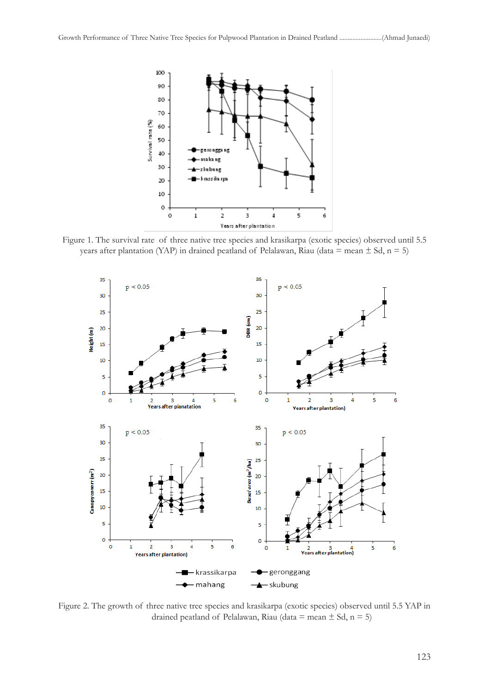

Figure 1. The survival rate of three native tree species and krasikarpa (exotic species) observed until 5.5 years after plantation (YAP) in drained peatland of Pelalawan, Riau (data = mean  $\pm$  Sd, n = 5)



Figure 2. The growth of three native tree species and krasikarpa (exotic species) observed until 5.5 YAP in drained peatland of Pelalawan, Riau (data = mean  $\pm$  Sd, n = 5)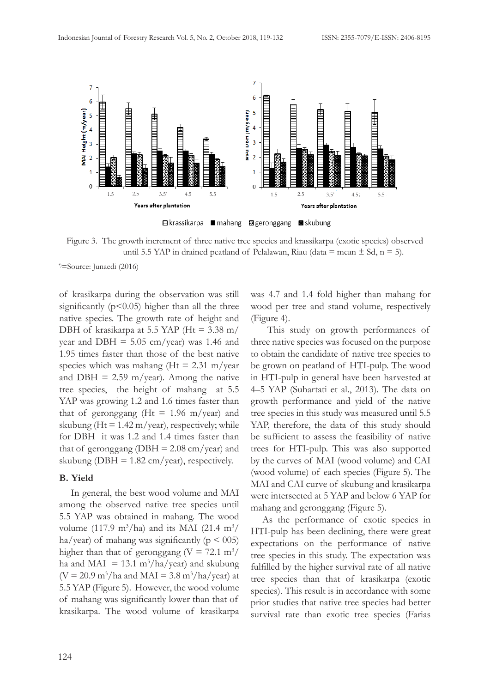

**E** krassikarpa ■ mahang **@** geronggang ■ skubung

Figure 3. The growth increment of three native tree species and krassikarpa (exotic species) observed until 5.5 YAP in drained peatland of Pelalawan, Riau (data = mean  $\pm$  Sd, n = 5).

\*)=Source: Junaedi (2016)

of krasikarpa during the observation was still significantly  $(p<0.05)$  higher than all the three native species. The growth rate of height and DBH of krasikarpa at 5.5 YAP (Ht = 3.38 m/ year and DBH =  $5.05 \text{ cm/year}$  was 1.46 and 1.95 times faster than those of the best native species which was mahang (Ht =  $2.31 \text{ m/year}$ ) and DBH = 2.59 m/year). Among the native tree species, the height of mahang at 5.5 YAP was growing 1.2 and 1.6 times faster than that of geronggang (Ht = 1.96 m/year) and skubung (Ht =  $1.42$  m/year), respectively; while for DBH it was 1.2 and 1.4 times faster than that of geronggang (DBH  $= 2.08$  cm/year) and skubung (DBH =  $1.82 \text{ cm/year}$ ), respectively.

#### **B. Yield**

In general, the best wood volume and MAI among the observed native tree species until 5.5 YAP was obtained in mahang. The wood volume (117.9 m<sup>3</sup>/ha) and its MAI (21.4 m<sup>3</sup>/ ha/year) of mahang was significantly ( $p < 005$ ) higher than that of geronggang ( $V = 72.1$  m<sup>3</sup>/ ha and MAI = 13.1  $\text{m}^3/\text{ha/year}$  and skubung  $(V = 20.9 \text{ m}^3/\text{ha}$  and MAI = 3.8 m<sup>3</sup>/ha/year) at 5.5 YAP (Figure 5). However, the wood volume of mahang was significantly lower than that of krasikarpa. The wood volume of krasikarpa

was 4.7 and 1.4 fold higher than mahang for wood per tree and stand volume, respectively (Figure 4).

This study on growth performances of three native species was focused on the purpose to obtain the candidate of native tree species to be grown on peatland of HTI-pulp. The wood in HTI-pulp in general have been harvested at 4–5 YAP (Suhartati et al., 2013). The data on growth performance and yield of the native tree species in this study was measured until 5.5 YAP, therefore, the data of this study should be sufficient to assess the feasibility of native trees for HTI-pulp. This was also supported by the curves of MAI (wood volume) and CAI (wood volume) of each species (Figure 5). The MAI and CAI curve of skubung and krasikarpa were intersected at 5 YAP and below 6 YAP for mahang and geronggang (Figure 5).

As the performance of exotic species in HTI-pulp has been declining, there were great expectations on the performance of native tree species in this study. The expectation was fulfilled by the higher survival rate of all native tree species than that of krasikarpa (exotic species). This result is in accordance with some prior studies that native tree species had better survival rate than exotic tree species (Farias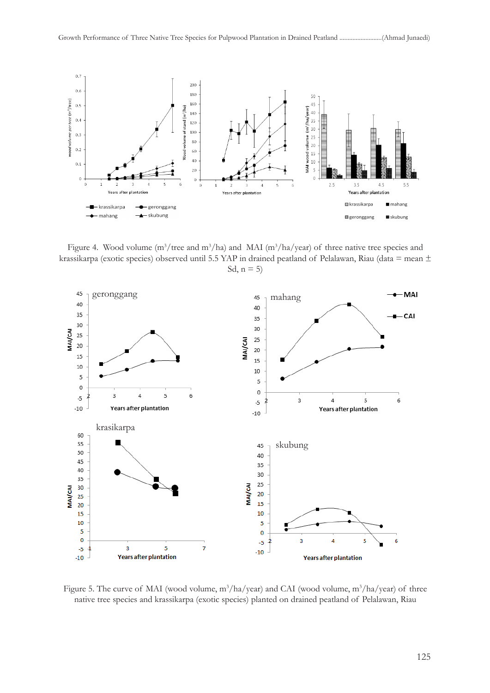

Figure 4. Wood volume  $(m^3/\text{tree and } m^3/\text{ha})$  and MAI  $(m^3/\text{ha/year})$  of three native tree species and krassikarpa (exotic species) observed until 5.5 YAP in drained peatland of Pelalawan, Riau (data = mean ± Sd,  $n = 5$ )



Figure 5. The curve of MAI (wood volume,  $m^3/ha/year$ ) and CAI (wood volume,  $m^3/ha/year$ ) of three native tree species and krassikarpa (exotic species) planted on drained peatland of Pelalawan, Riau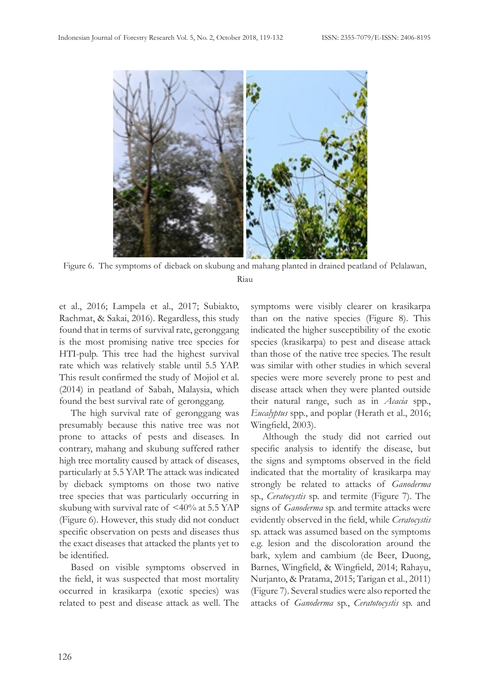

Figure 6. The symptoms of dieback on skubung and mahang planted in drained peatland of Pelalawan, Riau

et al., 2016; Lampela et al., 2017; Subiakto, Rachmat, & Sakai, 2016). Regardless, this study found that in terms of survival rate, geronggang is the most promising native tree species for HTI-pulp. This tree had the highest survival rate which was relatively stable until 5.5 YAP. This result confirmed the study of Mojiol et al. (2014) in peatland of Sabah, Malaysia, which found the best survival rate of geronggang.

The high survival rate of geronggang was presumably because this native tree was not prone to attacks of pests and diseases. In contrary, mahang and skubung suffered rather high tree mortality caused by attack of diseases, particularly at 5.5 YAP. The attack was indicated by dieback symptoms on those two native tree species that was particularly occurring in skubung with survival rate of <40% at 5.5 YAP (Figure 6). However, this study did not conduct specific observation on pests and diseases thus the exact diseases that attacked the plants yet to be identified.

Based on visible symptoms observed in the field, it was suspected that most mortality occurred in krasikarpa (exotic species) was related to pest and disease attack as well. The symptoms were visibly clearer on krasikarpa than on the native species (Figure 8). This indicated the higher susceptibility of the exotic species (krasikarpa) to pest and disease attack than those of the native tree species. The result was similar with other studies in which several species were more severely prone to pest and disease attack when they were planted outside their natural range, such as in *Acacia* spp., *Eucalyptus* spp., and poplar (Herath et al., 2016; Wingfield, 2003).

Although the study did not carried out specific analysis to identify the disease, but the signs and symptoms observed in the field indicated that the mortality of krasikarpa may strongly be related to attacks of *Ganoderma*  sp., *Ceratocystis* sp. and termite (Figure 7). The signs of *Ganoderma* sp. and termite attacks were evidently observed in the field, while *Ceratocystis* sp. attack was assumed based on the symptoms e.g. lesion and the discoloration around the bark, xylem and cambium (de Beer, Duong, Barnes, Wingfield, & Wingfield, 2014; Rahayu, Nurjanto, & Pratama, 2015; Tarigan et al., 2011) (Figure 7). Several studies were also reported the attacks of *Ganoderma* sp., *Ceratotocystis* sp. and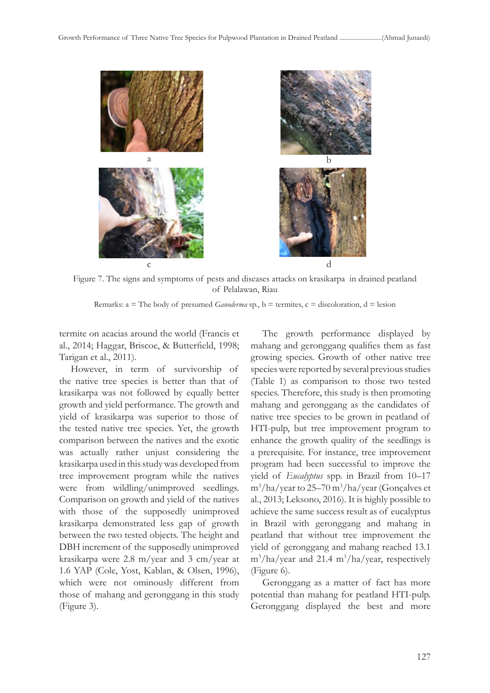

Figure 7. The signs and symptoms of pests and diseases attacks on krasikarpa in drained peatland of Pelalawan, Riau

Remarks:  $a =$  The body of presumed *Ganoderma* sp.,  $b =$  termites,  $c =$  discoloration,  $d =$  lesion

termite on acacias around the world (Francis et al., 2014; Haggar, Briscoe, & Butterfield, 1998; Tarigan et al., 2011).

However, in term of survivorship of the native tree species is better than that of krasikarpa was not followed by equally better growth and yield performance. The growth and yield of krasikarpa was superior to those of the tested native tree species. Yet, the growth comparison between the natives and the exotic was actually rather unjust considering the krasikarpa used in this study was developed from tree improvement program while the natives were from wildling/unimproved seedlings. Comparison on growth and yield of the natives with those of the supposedly unimproved krasikarpa demonstrated less gap of growth between the two tested objects. The height and DBH increment of the supposedly unimproved krasikarpa were 2.8 m/year and 3 cm/year at 1.6 YAP (Cole, Yost, Kablan, & Olsen, 1996), which were not ominously different from those of mahang and geronggang in this study (Figure 3).

The growth performance displayed by mahang and geronggang qualifies them as fast growing species. Growth of other native tree species were reported by several previous studies (Table 1) as comparison to those two tested species. Therefore, this study is then promoting mahang and geronggang as the candidates of native tree species to be grown in peatland of HTI-pulp, but tree improvement program to enhance the growth quality of the seedlings is a prerequisite. For instance, tree improvement program had been successful to improve the yield of *Eucalyptus* spp. in Brazil from 10–17 m<sup>3</sup> /ha/year to 25–70 m3 /ha/year (Gonçalves et al., 2013; Leksono, 2016). It is highly possible to achieve the same success result as of eucalyptus in Brazil with geronggang and mahang in peatland that without tree improvement the yield of geronggang and mahang reached 13.1 m<sup>3</sup> /ha/year and 21.4 m3 /ha/year, respectively (Figure 6).

Geronggang as a matter of fact has more potential than mahang for peatland HTI-pulp. Geronggang displayed the best and more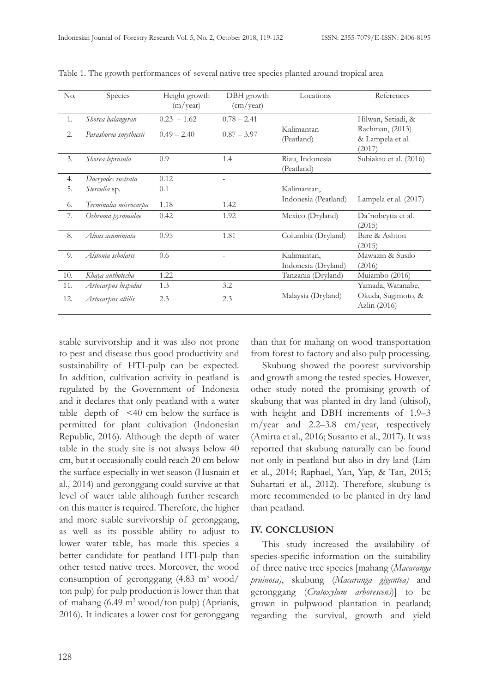| No. | Species               | Height growth<br>(m/year) | DBH growth<br>(cm/year)  | Locations                | References                                    |
|-----|-----------------------|---------------------------|--------------------------|--------------------------|-----------------------------------------------|
| 1.  | Shorea balangeran     | $0.23 - 1.62$             | $0.78 - 2.41$            |                          | Hilwan, Setiadi, &                            |
| 2.  | Parashorea smythiesii | $0.49 - 2.40$             | $0.87 - 3.97$            | Kalimantan<br>(Peatland) | Rachman, (2013)<br>& Lampela et al.<br>(2017) |
| 3.  | Shorea leprosula      | 0.9                       | 1.4                      | Riau, Indonesia          | Subiakto et al. (2016)                        |
|     |                       |                           |                          | (Peatland)               |                                               |
| 4.  | Dacryodes rostrata    | 0.12                      |                          |                          |                                               |
| 5.  | Sterculia sp.         | 0.1                       |                          | Kalimantan,              |                                               |
| 6.  | Terminalia microcarpa | 1.18                      | 1.42                     | Indonesia (Peatland)     | Lampela et al. (2017)                         |
| 7.  | Ochroma pyramidae     | 0.42                      | 1.92                     | Mexico (Dryland)         | Da nobeytia et al.<br>(2015)                  |
| 8.  | Alnus acuminiata      | 0.95                      | 1.81                     | Columbia (Dryland)       | Bare & Ashton<br>(2015)                       |
| 9.  | Alstonia scholaris    | 0.6                       | ÷                        | Kalimantan,              | Mawazin & Susilo                              |
|     |                       |                           |                          | Indonesia (Dryland)      | (2016)                                        |
| 10. | Khaya anthotecha      | 1.22                      | $\overline{\phantom{a}}$ | Tanzania (Dryland)       | Muiambo (2016)                                |
| 11. | Artocarpus hispidus   | 1.3                       | 3.2                      |                          | Yamada, Watanabe,                             |
| 12. | Artocarpus altilis    | 2.3                       | 2.3                      | Malaysia (Dryland)       | Okuda, Sugimoto, &<br>Azlin (2016)            |

Table 1. The growth performances of several native tree species planted around tropical area

stable survivorship and it was also not prone to pest and disease thus good productivity and sustainability of HTI-pulp can be expected. In addition, cultivation activity in peatland is regulated by the Government of Indonesia and it declares that only peatland with a water table depth of <40 cm below the surface is permitted for plant cultivation (Indonesian Republic, 2016). Although the depth of water table in the study site is not always below 40 cm, but it occasionally could reach 20 cm below the surface especially in wet season (Husnain et al., 2014) and geronggang could survive at that level of water table although further research on this matter is required. Therefore, the higher and more stable survivorship of geronggang, as well as its possible ability to adjust to lower water table, has made this species a better candidate for peatland HTI-pulp than other tested native trees. Moreover, the wood consumption of geronggang  $(4.83 \text{ m}^3 \text{ wood}/$ ton pulp) for pulp production is lower than that of mahang (6.49 m<sup>3</sup> wood/ton pulp) (Aprianis, 2016). It indicates a lower cost for geronggang

than that for mahang on wood transportation from forest to factory and also pulp processing.

Skubung showed the poorest survivorship and growth among the tested species. However, other study noted the promising growth of skubung that was planted in dry land (ultisol), with height and DBH increments of 1.9–3 m/year and 2.2–3.8 cm/year, respectively (Amirta et al., 2016; Susanto et al., 2017). It was reported that skubung naturally can be found not only in peatland but also in dry land (Lim et al., 2014; Raphael, Yan, Yap, & Tan, 2015; Suhartati et al., 2012). Therefore, skubung is more recommended to be planted in dry land than peatland.

#### **IV. CONCLUSION**

This study increased the availability of species-specific information on the suitability of three native tree species [mahang (*Macaranga pruinosa)*, skubung (*Macaranga gigantea)* and geronggang (*Cratoxylum arborescens*)] to be grown in pulpwood plantation in peatland; regarding the survival, growth and yield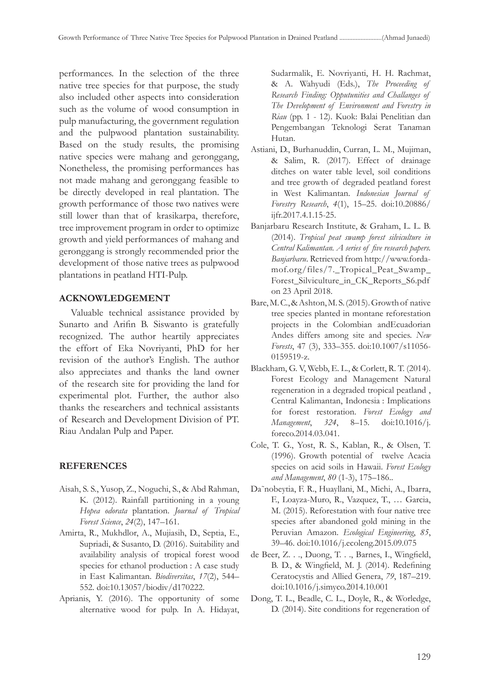performances. In the selection of the three native tree species for that purpose, the study also included other aspects into consideration such as the volume of wood consumption in pulp manufacturing, the government regulation and the pulpwood plantation sustainability. Based on the study results, the promising native species were mahang and geronggang, Nonetheless, the promising performances has not made mahang and geronggang feasible to be directly developed in real plantation. The growth performance of those two natives were still lower than that of krasikarpa, therefore, tree improvement program in order to optimize growth and yield performances of mahang and geronggang is strongly recommended prior the development of those native trees as pulpwood plantations in peatland HTI-Pulp.

#### **ACKNOWLEDGEMENT**

Valuable technical assistance provided by Sunarto and Arifin B. Siswanto is gratefully recognized. The author heartily appreciates the effort of Eka Novriyanti, PhD for her revision of the author's English. The author also appreciates and thanks the land owner of the research site for providing the land for experimental plot. Further, the author also thanks the researchers and technical assistants of Research and Development Division of PT. Riau Andalan Pulp and Paper.

#### **REFERENCES**

- Aisah, S. S., Yusop, Z., Noguchi, S., & Abd Rahman, K. (2012). Rainfall partitioning in a young *Hopea odorata* plantation. *Journal of Tropical Forest Science*, *24*(2), 147–161.
- Amirta, R., Mukhdlor, A., Mujiasih, D., Septia, E., Supriadi, & Susanto, D. (2016). Suitability and availability analysis of tropical forest wood species for ethanol production : A case study in East Kalimantan. *Biodiversitas*, *17*(2), 544– 552. doi:10.13057/biodiv/d170222.
- Aprianis, Y. (2016). The opportunity of some alternative wood for pulp. In A. Hidayat,

Sudarmalik, E. Novriyanti, H. H. Rachmat, & A. Wahyudi (Eds.), *The Proceeding of Research Finding: Opputunities and Challanges of The Development of Environment and Forestry in Riau* (pp. 1 - 12). Kuok: Balai Penelitian dan Pengembangan Teknologi Serat Tanaman Hutan.

- Astiani, D., Burhanuddin, Curran, L. M., Mujiman, & Salim, R. (2017). Effect of drainage ditches on water table level, soil conditions and tree growth of degraded peatland forest in West Kalimantan. *Indonesian Journal of Forestry Research*, *4*(1), 15–25. doi:10.20886/ ijfr.2017.4.1.15-25.
- Banjarbaru Research Institute, & Graham, L. L. B. (2014). *Tropical peat swamp forest silviculture in Central Kalimantan. A series of five research papers. Banjarbaru*. Retrieved from http://www.fordamof.org/files/7.\_Tropical\_Peat\_Swamp\_ Forest\_Silviculture\_in\_CK\_Reports\_S6.pdf on 23 April 2018.
- Bare, M. C., & Ashton, M. S. (2015). Growth of native tree species planted in montane reforestation projects in the Colombian andEcuadorian Andes differs among site and species. *New Forests*, 47 (3), 333–355. doi:10.1007/s11056- 0159519-z.
- Blackham, G. V, Webb, E. L., & Corlett, R. T. (2014). Forest Ecology and Management Natural regeneration in a degraded tropical peatland , Central Kalimantan, Indonesia : Implications for forest restoration. *Forest Ecology and Management*, *324*, 8–15. doi:10.1016/j. foreco.2014.03.041.
- Cole, T. G., Yost, R. S., Kablan, R., & Olsen, T. (1996). Growth potential of twelve Acacia species on acid soils in Hawaii. *Forest Ecology and Management*, *80* (1-3), 175–186..
- Da˜nobeytia, F. R., Huayllani, M., Michi, A., Ibarra, F., Loayza-Muro, R., Vazquez, T., … Garcia, M. (2015). Reforestation with four native tree species after abandoned gold mining in the Peruvian Amazon. *Ecological Engineering*, *85*, 39–46. doi:10.1016/j.ecoleng.2015.09.075
- de Beer, Z. . ., Duong, T. . ., Barnes, I., Wingfield, B. D., & Wingfield, M. J. (2014). Redefining Ceratocystis and Allied Genera, *79*, 187–219. doi:10.1016/j.simyco.2014.10.001
- Dong, T. L., Beadle, C. L., Doyle, R., & Worledge, D. (2014). Site conditions for regeneration of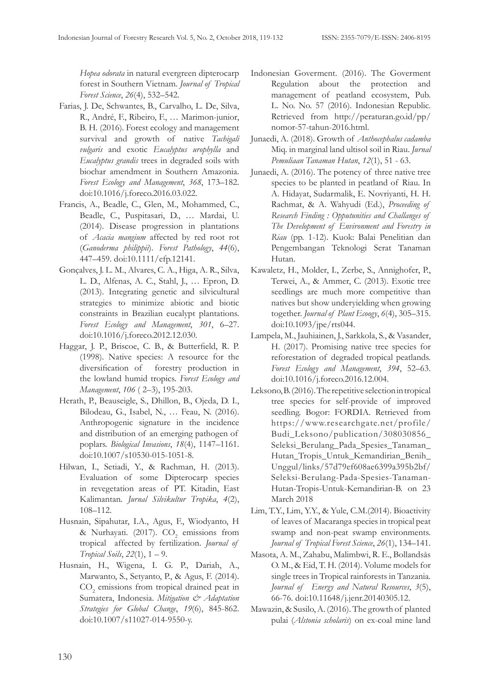*Hopea odorata* in natural evergreen dipterocarp forest in Southern Vietnam. *Journal of Tropical Forest Science*, *26*(4), 532–542.

- Farias, J. De, Schwantes, B., Carvalho, L. De, Silva, R., André, F., Ribeiro, F., … Marimon-junior, B. H. (2016). Forest ecology and management survival and growth of native *Tachigali vulgaris* and exotic *Eucalyptus urophylla* and *Eucalyptus grandis* trees in degraded soils with biochar amendment in Southern Amazonia. *Forest Ecology and Management*, *368*, 173–182. doi:10.1016/j.foreco.2016.03.022.
- Francis, A., Beadle, C., Glen, M., Mohammed, C., Beadle, C., Puspitasari, D., … Mardai, U. (2014). Disease progression in plantations of *Acacia mangium* affected by red root rot (*Ganoderma philippii*). *Forest Pathology*, *44*(6), 447–459. doi:10.1111/efp.12141.
- Gonçalves, J. L. M., Alvares, C. A., Higa, A. R., Silva, L. D., Alfenas, A. C., Stahl, J., … Epron, D. (2013). Integrating genetic and silvicultural strategies to minimize abiotic and biotic constraints in Brazilian eucalypt plantations. *Forest Ecology and Management*, *301*, 6–27. doi:10.1016/j.foreco.2012.12.030.
- Haggar, J. P., Briscoe, C. B., & Butterfield, R. P. (1998). Native species: A resource for the diversification of forestry production in the lowland humid tropics. *Forest Ecology and Management*, *106* ( 2–3), 195-203.
- Herath, P., Beauseigle, S., Dhillon, B., Ojeda, D. I., Bilodeau, G., Isabel, N., … Feau, N. (2016). Anthropogenic signature in the incidence and distribution of an emerging pathogen of poplars. *Biological Invasions*, *18*(4), 1147–1161. doi:10.1007/s10530-015-1051-8.
- Hilwan, I., Setiadi, Y., & Rachman, H. (2013). Evaluation of some Dipterocarp species in revegetation areas of PT. Kitadin, East Kalimantan. *Jurnal Silvikultur Tropika*, *4*(2), 108–112.
- Husnain, Sipahutar, I.A., Agus, F., Wiodyanto, H & Nurhayati. (2017).  $CO<sub>2</sub>$  emissions from tropical affected by fertilization. *Journal of Tropical Soils*, *22*(1), 1 – 9.
- Husnain, H., Wigena, I. G. P., Dariah, A., Marwanto, S., Setyanto, P., & Agus, F. (2014).  $\mathrm{CO}_2$  emissions from tropical drained peat in Sumatera, Indonesia. *Mitigation & Adaptation Strategies for Global Change*, *19*(6), 845-862. doi:10.1007/s11027-014-9550-y.
- Indonesian Goverment. (2016). The Goverment Regulation about the protection and management of peatland ecosystem, Pub. L. No. No. 57 (2016). Indonesian Republic. Retrieved from http://peraturan.go.id/pp/ nomor-57-tahun-2016.html.
- Junaedi, A. (2018). Growth of *Anthocephalus cadamba*  Miq. in marginal land ultisol soil in Riau. *Jurnal Pemuliaan Tanaman Hutan*, *12*(1), 51 - 63.
- Junaedi, A. (2016). The potency of three native tree species to be planted in peatland of Riau. In A. Hidayat, Sudarmalik, E. Novriyanti, H. H. Rachmat, & A. Wahyudi (Ed.), *Proceeding of Research Finding : Opputunities and Challanges of The Development of Environment and Forestry in Riau* (pp. 1-12). Kuok: Balai Penelitian dan Pengembangan Teknologi Serat Tanaman Hutan.
- Kawaletz, H., Molder, I., Zerbe, S., Annighofer, P., Terwei, A., & Ammer, C. (2013). Exotic tree seedlings are much more competitive than natives but show underyielding when growing together. *Journal of Plant Ecoogy*, *6*(4), 305–315. doi:10.1093/jpe/rts044.
- Lampela, M., Jauhiainen, J., Sarkkola, S., & Vasander, H. (2017). Promising native tree species for reforestation of degraded tropical peatlands. *Forest Ecology and Management*, *394*, 52–63. doi:10.1016/j.foreco.2016.12.004.
- Leksono, B. (2016). The repetitive selection in tropical tree species for self-provide of improved seedling. Bogor: FORDIA. Retrieved from https://www.researchgate.net/profile/ Budi\_Leksono/publication/308030856\_ Seleksi\_Berulang\_Pada\_Spesies\_Tanaman\_ Hutan\_Tropis\_Untuk\_Kemandirian\_Benih\_ Unggul/links/57d79ef608ae6399a395b2bf/ Seleksi-Berulang-Pada-Spesies-Tanaman-Hutan-Tropis-Untuk-Kemandirian-B. on 23 March 2018
- Lim, T.Y., Lim, Y.Y., & Yule, C.M.(2014). Bioactivity of leaves of Macaranga species in tropical peat swamp and non-peat swamp environments. *Journal of Tropical Forest Science*, *26*(1), 134–141.
- Masota, A. M., Zahabu, Malimbwi, R. E., Bollandsås O. M., & Eid, T. H. (2014). Volume models for single trees in Tropical rainforests in Tanzania. *Journal of Energy and Natural Resources*, *3*(5), 66-76. doi:10.11648/j.jenr.20140305.12.
- Mawazin, & Susilo, A. (2016). The growth of planted pulai (*Alstonia scholaris*) on ex-coal mine land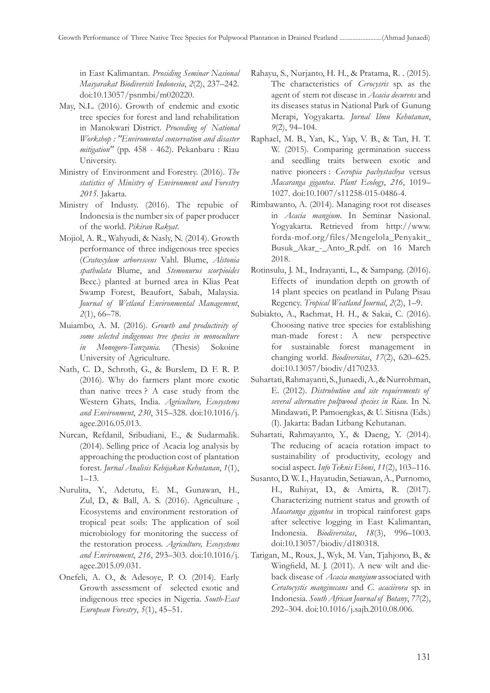in East Kalimantan. *Prosiding Seminar Nasional Masyarakat Biodiversiti Indonesia*, *2*(2), 237–242. doi:10.13057/psnmbi/m020220.

- May, N.L. (2016). Growth of endemic and exotic tree species for forest and land rehabilitation in Manokwari District. *Proceeding of National Workshop : "Enviromental conservation and disaster mitigation"* (pp. 458 - 462). Pekanbaru : Riau University.
- Ministry of Environment and Forestry. (2016). *The statistics of Ministry of Environment and Forestry 2015*. Jakarta.
- Ministry of Industy. (2016). The repubic of Indonesia is the number six of paper producer of the world. *Pikiran Rakyat*.
- Mojiol, A. R., Wahyudi, & Nasly, N. (2014). Growth performance of three indigenous tree species (*Cratoxylum arborescens* Vahl. Blume, *Alstonia spathulata* Blume, and *Stemonurus scorpioides* Becc.) planted at burned area in Klias Peat Swamp Forest, Beaufort, Sabah, Malaysia. *Journal of Wetland Environmental Management*, *2*(1), 66–78.
- Muiambo, A. M. (2016). *Growth and productivity of some selected indigenous tree species in monoculture in Monogoro-Tanzania*. (Thesis) Sokoine University of Agriculture.
- Nath, C. D., Schroth, G., & Burslem, D. F. R. P. (2016). Why do farmers plant more exotic than native trees ? A case study from the Western Ghats, India. *Agriculture, Ecosystems and Environment*, *230*, 315–328. doi:10.1016/j. agee.2016.05.013.
- Nurcan, Refdanil, Sribudiani, E., & Sudarmalik. (2014). Selling price of Acacia log analysis by approaching the production cost of plantation forest. *Jurnal Analisis Kebijakan Kehutanan*, *1*(1), 1–13.
- Nurulita, Y., Adetutu, E. M., Gunawan, H., Zul, D., & Ball, A. S. (2016). Agriculture , Ecosystems and environment restoration of tropical peat soils: The application of soil microbiology for monitoring the success of the restoration process. *Agriculture, Ecosystems and Environment*, *216*, 293–303. doi:10.1016/j. agee.2015.09.031.
- Onefeli, A. O., & Adesoye, P. O. (2014). Early Growth assessment of selected exotic and indigenous tree species in Nigeria. *South-East European Forestry*, *5*(1), 45–51.
- Rahayu, S., Nurjanto, H. H., & Pratama, R. . (2015). The characteristics of *Cerocysris* sp. as the agent of stem rot disease in *Acacia decurens* and its diseases status in National Park of Gunung Merapi, Yogyakarta. *Jurnal Ilmu Kehutanan*, *9*(2), 94–104.
- Raphael, M. B., Yan, K., Yap, V. B., & Tan, H. T. W. (2015). Comparing germination success and seedling traits between exotic and native pioneers : *Cecropia pachystachya* versus *Macaranga gigantea*. *Plant Ecology*, *216*, 1019– 1027. doi:10.1007/s11258-015-0486-4.
- Rimbawanto, A. (2014). Managing root rot diseases in *Acacia mangium*. In Seminar Nasional. Yogyakarta. Retrieved from http://www. forda-mof.org/files/Mengelola\_Penyakit\_ Busuk Akar - Anto R.pdf. on 16 March 2018.
- Rotinsulu, J. M., Indrayanti, L., & Sampang. (2016). Effects of inundation depth on growth of 14 plant species on peatland in Pulang Pisau Regency. *Tropical Weatland Journal*, *2*(2), 1–9.
- Subiakto, A., Rachmat, H. H., & Sakai, C. (2016). Choosing native tree species for establishing man-made forest: A new perspective for sustainable forest management in changing world. *Biodiversitas*, *17*(2), 620–625. doi:10.13057/biodiv/d170233.
- Suhartati, Rahmayanti, S., Junaedi, A., & Nurrohman, E. (2012). *Distrubution and site requirements of several alternative pulpwood species in Riau*. In N. Mindawati, P. Pamoengkas, & U. Sitisna (Eds.) (I). Jakarta: Badan Litbang Kehutanan.
- Suhartati, Rahmayanto, Y., & Daeng, Y. (2014). The reducing of acacia rotation impact to sustainability of productivity, ecology and social aspect. *Info Teknis Eboni*, *11*(2), 103–116.
- Susanto, D. W. I., Hayatudin, Setiawan, A., Purnomo, H., Ruhiyat, D., & Amirta, R. (2017). Characterizing nutrient status and growth of *Macaranga gigantea* in tropical rainforest gaps after selective logging in East Kalimantan, Indonesia. *Biodiversitas*, *18*(3), 996–1003. doi:10.13057/biodiv/d180318.
- Tarigan, M., Roux, J., Wyk, M. Van, Tjahjono, B., & Wingfield, M. J. (2011). A new wilt and dieback disease of *Acacia mangium* associated with *Ceratocystis manginecans* and *C. acaciivora* sp. in Indonesia. *South African Journal of Botany*, *77*(2), 292–304. doi:10.1016/j.sajb.2010.08.006.